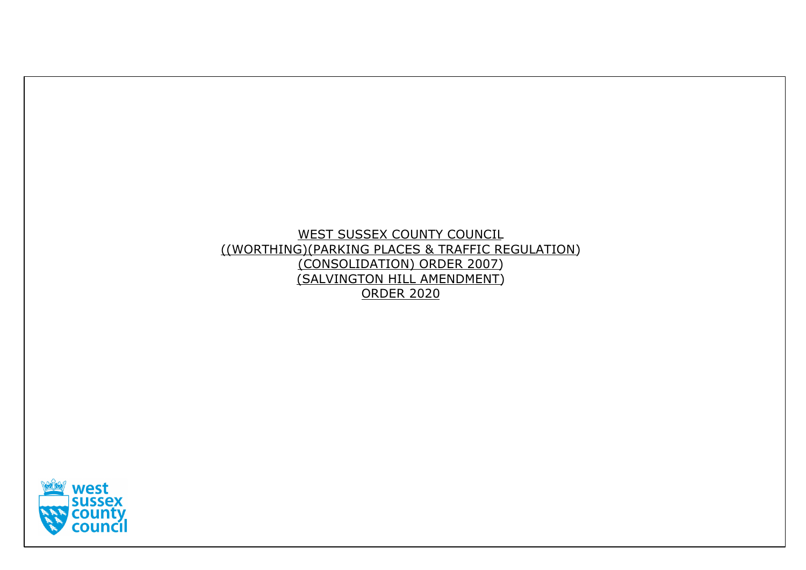# WEST SUSSEX COUNTY COUNCIL ((WORTHING)(PARKING PLACES & TRAFFIC REGULATION) (CONSOLIDATION) ORDER 2007) (SALVINGTON HILL AMENDMENT) ORDER 2020

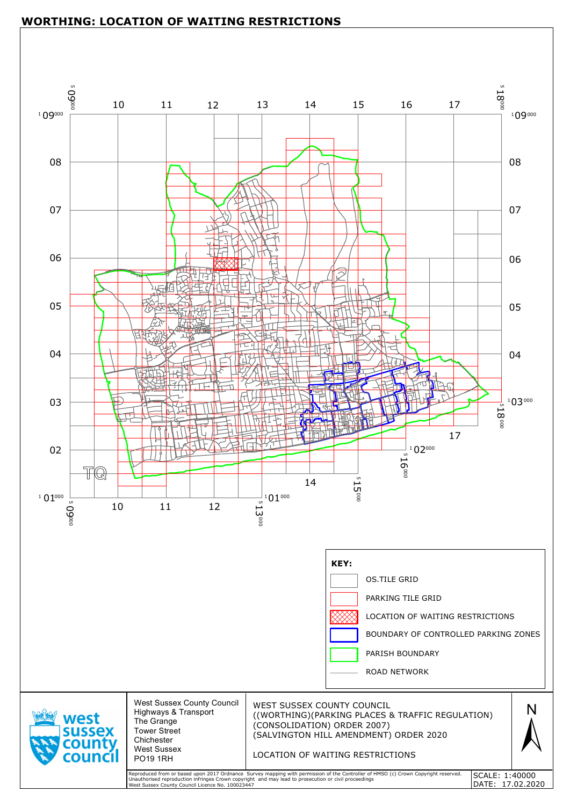

## **WORTHING: LOCATION OF WAITING RESTRICTIONS**



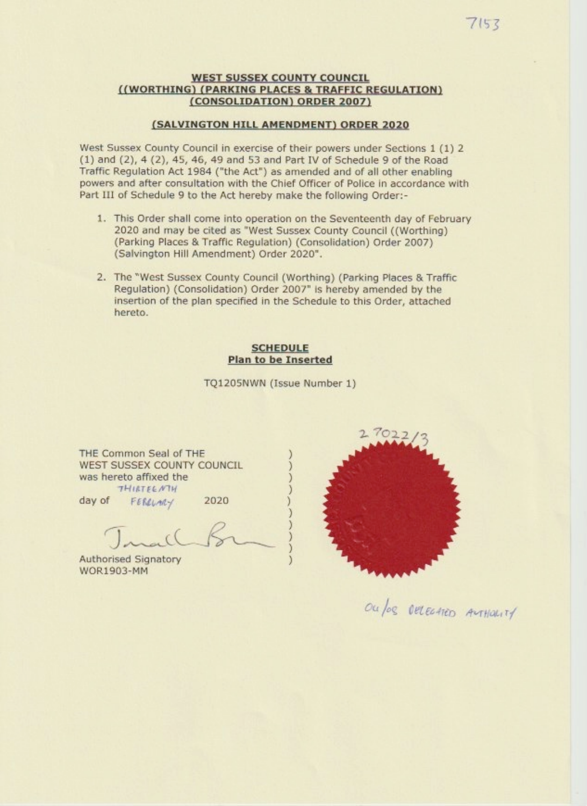#### **WEST SUSSEX COUNTY COUNCIL** ((WORTHING) (PARKING PLACES & TRAFFIC REGULATION) (CONSOLIDATION) ORDER 2007)

#### (SALVINGTON HILL AMENDMENT) ORDER 2020

West Sussex County Council in exercise of their powers under Sections 1 (1) 2  $(1)$  and  $(2)$ , 4 $(2)$ , 45, 46, 49 and 53 and Part IV of Schedule 9 of the Road Traffic Regulation Act 1984 ("the Act") as amended and of all other enabling powers and after consultation with the Chief Officer of Police in accordance with Part III of Schedule 9 to the Act hereby make the following Order:-

- 1. This Order shall come into operation on the Seventeenth day of February 2020 and may be cited as "West Sussex County Council ((Worthing) (Parking Places & Traffic Regulation) (Consolidation) Order 2007) (Salvington Hill Amendment) Order 2020".
- 2. The "West Sussex County Council (Worthing) (Parking Places & Traffic Regulation) (Consolidation) Order 2007" is hereby amended by the insertion of the plan specified in the Schedule to this Order, attached hereto.

### **SCHEDULE Plan to be Inserted**

TQ1205NWN (Issue Number 1)

THE Common Seal of THE WEST SUSSEX COUNTY COUNCIL was hereto affixed the **THIRTEENTH** 

FERRLARY

day of

2020

Authorised Signatory **WOR1903-MM** 



Ou los Delection ANTHOLITY